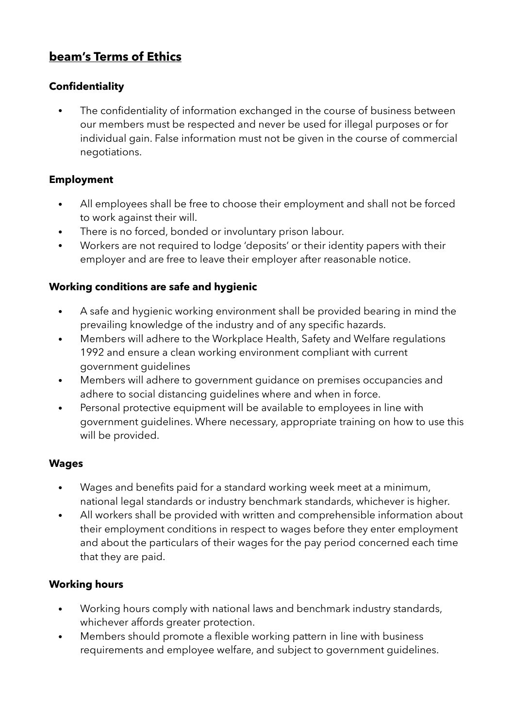# **beam's Terms of Ethics**

### **Confidentiality**

The confidentiality of information exchanged in the course of business between our members must be respected and never be used for illegal purposes or for individual gain. False information must not be given in the course of commercial negotiations.

### **Employment**

- All employees shall be free to choose their employment and shall not be forced to work against their will.
- There is no forced, bonded or involuntary prison labour.
- Workers are not required to lodge 'deposits' or their identity papers with their employer and are free to leave their employer after reasonable notice.

#### **Working conditions are safe and hygienic**

- A safe and hygienic working environment shall be provided bearing in mind the prevailing knowledge of the industry and of any specific hazards.
- Members will adhere to the Workplace Health, Safety and Welfare regulations 1992 and ensure a clean working environment compliant with current government guidelines
- Members will adhere to government guidance on premises occupancies and adhere to social distancing guidelines where and when in force.
- Personal protective equipment will be available to employees in line with government guidelines. Where necessary, appropriate training on how to use this will be provided.

#### **Wages**

- Wages and benefits paid for a standard working week meet at a minimum, national legal standards or industry benchmark standards, whichever is higher.
- All workers shall be provided with written and comprehensible information about their employment conditions in respect to wages before they enter employment and about the particulars of their wages for the pay period concerned each time that they are paid.

## **Working hours**

- Working hours comply with national laws and benchmark industry standards, whichever affords greater protection.
- Members should promote a flexible working pattern in line with business requirements and employee welfare, and subject to government guidelines.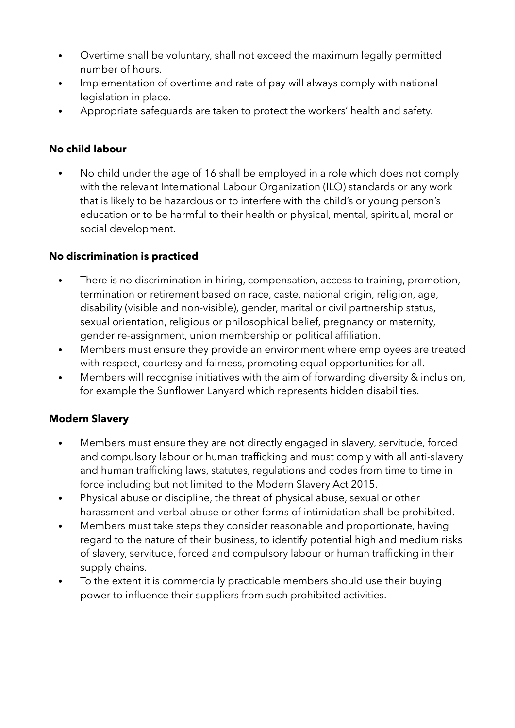- Overtime shall be voluntary, shall not exceed the maximum legally permitted number of hours.
- Implementation of overtime and rate of pay will always comply with national legislation in place.
- Appropriate safeguards are taken to protect the workers' health and safety.

## **No child labour**

• No child under the age of 16 shall be employed in a role which does not comply with the relevant International Labour Organization (ILO) standards or any work that is likely to be hazardous or to interfere with the child's or young person's education or to be harmful to their health or physical, mental, spiritual, moral or social development.

# **No discrimination is practiced**

- There is no discrimination in hiring, compensation, access to training, promotion, termination or retirement based on race, caste, national origin, religion, age, disability (visible and non-visible), gender, marital or civil partnership status, sexual orientation, religious or philosophical belief, pregnancy or maternity, gender re-assignment, union membership or political affiliation.
- Members must ensure they provide an environment where employees are treated with respect, courtesy and fairness, promoting equal opportunities for all.
- Members will recognise initiatives with the aim of forwarding diversity & inclusion, for example the Sunflower Lanyard which represents hidden disabilities.

# **Modern Slavery**

- Members must ensure they are not directly engaged in slavery, servitude, forced and compulsory labour or human trafficking and must comply with all anti-slavery and human trafficking laws, statutes, regulations and codes from time to time in force including but not limited to the Modern Slavery Act 2015.
- Physical abuse or discipline, the threat of physical abuse, sexual or other harassment and verbal abuse or other forms of intimidation shall be prohibited.
- Members must take steps they consider reasonable and proportionate, having regard to the nature of their business, to identify potential high and medium risks of slavery, servitude, forced and compulsory labour or human trafficking in their supply chains.
- To the extent it is commercially practicable members should use their buying power to influence their suppliers from such prohibited activities.